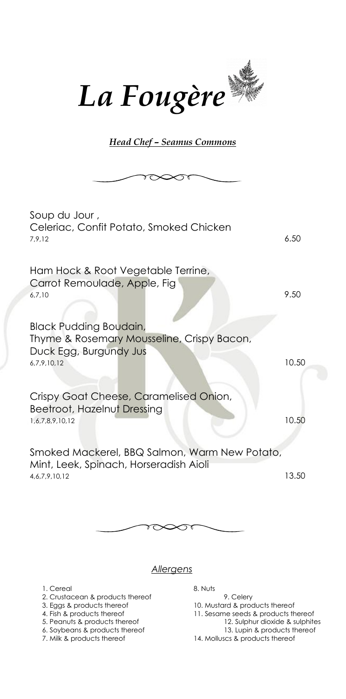

*Head Chef – Seamus Commons* 

| Soup du Jour ,<br>Celeriac, Confit Potato, Smoked Chicken<br>7,9,12                                           | 6.50  |
|---------------------------------------------------------------------------------------------------------------|-------|
| Ham Hock & Root Vegetable Terrine,<br>Carrot Remoulade, Apple, Fig<br>6,7,10<br><b>Black Pudding Boudain,</b> | 9.50  |
| Thyme & Rosemary Mousseline, Crispy Bacon,<br>Duck Egg, Burgundy Jus<br>6,7,9,10,12                           | 10.50 |
| Crispy Goat Cheese, Caramelised Onion,<br>Beetroot, Hazelnut Dressing<br>1,6,7,8,9,10,12                      | 10.50 |
| Smoked Mackerel, BBQ Salmon, Warm New Potato,<br>Mint, Leek, Spinach, Horseradish Aioli<br>4, 6, 7, 9, 10, 12 | 13.50 |



## *Allergens*

- 1. Cereal 8. Nuts
- 2. Crustacean & products thereof 9. Celery<br>3. Eggs & products thereof 10. Mustard & proc
- 
- 
- 
- 6. Soybeans & products thereof 13. Lupin & products thereof
- 

- 
- 3. Eggs & products thereof 10. Mustard & products thereof 4. Fish & products thereof 11. Sesame seeds & products the 11. Sesame seeds & products thereof
- 5. Peanuts & products thereof 12. Sulphur dioxide & sulphites
	-
- 7. Milk & products thereof 14. Molluscs & products thereof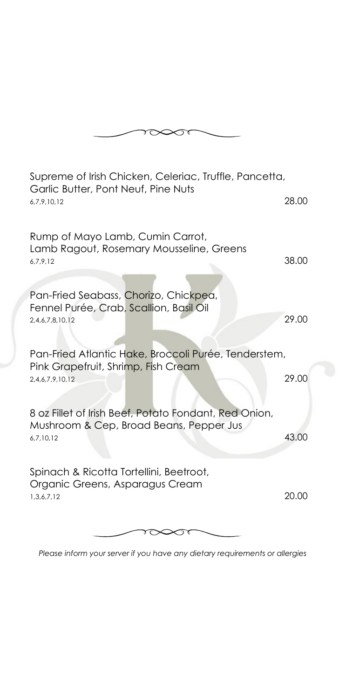

| Supreme of Irish Chicken, Celeriac, Truffle, Pancetta,<br>Garlic Butter, Pont Neuf, Pine Nuts |       |
|-----------------------------------------------------------------------------------------------|-------|
| 6,7,9,10,12                                                                                   | 28.00 |
| Rump of Mayo Lamb, Cumin Carrot,<br>Lamb Ragout, Rosemary Mousseline, Greens                  |       |
| 6,7,9,12                                                                                      | 38.00 |
| Pan-Fried Seabass, Chorizo, Chickpea,<br>Fennel Purée, Crab, Scallion, Basil Oil              |       |
| 2,4,6,7,8,10,12                                                                               | 29.00 |
| Pan-Fried Atlantic Hake, Broccoli Purée, Tenderstem,                                          |       |
| Pink Grapefruit, Shrimp, Fish Cream<br>2,4,6,7,9,10,12                                        | 29.00 |
| 8 oz Fillet of Irish Beef, Potato Fondant, Red Onion,                                         |       |
| Mushroom & Cep, Broad Beans, Pepper Jus<br>6,7,10,12                                          | 43.00 |
| Spinach & Ricotta Tortellini, Beetroot,                                                       |       |
| Organic Greens, Asparagus Cream<br>1,3,6,7,12                                                 | 20.00 |
|                                                                                               |       |

*Please inform your server if you have any dietary requirements or allergies*